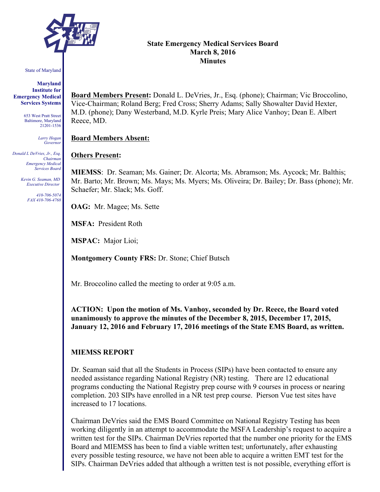

#### State of Maryland

**Maryland Institute for Emergency Medical Services Systems**

> 653 West Pratt Street Baltimore, Maryland 21201-1536

> > *Larry Hogan Governor*

*Donald L DeVries, Jr., Esq. Chairman Emergency Medical Services Board*

> *Kevin G. Seaman, MD Executive Director*

> > *410-706-5074 FAX 410-706-4768*

### **State Emergency Medical Services Board March 8, 2016 Minutes**

**Board Members Present:** Donald L. DeVries, Jr., Esq. (phone); Chairman; Vic Broccolino, Vice-Chairman; Roland Berg; Fred Cross; Sherry Adams; Sally Showalter David Hexter, M.D. (phone); Dany Westerband, M.D. Kyrle Preis; Mary Alice Vanhoy; Dean E. Albert Reece, MD.

#### **Board Members Absent:**

#### **Others Present:**

**MIEMSS**: Dr. Seaman; Ms. Gainer; Dr. Alcorta; Ms. Abramson; Ms. Aycock; Mr. Balthis; Mr. Barto; Mr. Brown; Ms. Mays; Ms. Myers; Ms. Oliveira; Dr. Bailey; Dr. Bass (phone); Mr. Schaefer; Mr. Slack; Ms. Goff.

**OAG:** Mr. Magee; Ms. Sette

**MSFA:** President Roth

**MSPAC:** Major Lioi;

**Montgomery County FRS:** Dr. Stone; Chief Butsch

Mr. Broccolino called the meeting to order at 9:05 a.m.

**ACTION: Upon the motion of Ms. Vanhoy, seconded by Dr. Reece, the Board voted unanimously to approve the minutes of the December 8, 2015, December 17, 2015, January 12, 2016 and February 17, 2016 meetings of the State EMS Board, as written.**

### **MIEMSS REPORT**

Dr. Seaman said that all the Students in Process (SIPs) have been contacted to ensure any needed assistance regarding National Registry (NR) testing. There are 12 educational programs conducting the National Registry prep course with 9 courses in process or nearing completion. 203 SIPs have enrolled in a NR test prep course. Pierson Vue test sites have increased to 17 locations.

Chairman DeVries said the EMS Board Committee on National Registry Testing has been working diligently in an attempt to accommodate the MSFA Leadership's request to acquire a written test for the SIPs. Chairman DeVries reported that the number one priority for the EMS Board and MIEMSS has been to find a viable written test; unfortunately, after exhausting every possible testing resource, we have not been able to acquire a written EMT test for the SIPs. Chairman DeVries added that although a written test is not possible, everything effort is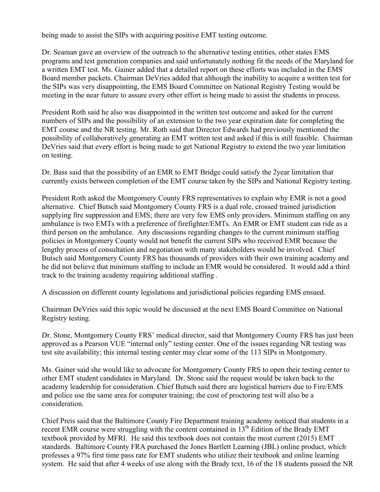being made to assist the SIPs with acquiring positive EMT testing outcome.

Dr. Seaman gave an overview of the outreach to the alternative testing entities, other states EMS programs and test generation companies and said unfortunately nothing fit the needs of the Maryland for a written EMT test. Ms. Gainer added that a detailed report on these efforts was included in the EMS Board member packets. Chairman DeVries added that although the inability to acquire a written test for the SIPs was very disappointing, the EMS Board Committee on National Registry Testing would be meeting in the near future to assure every other effort is being made to assist the students in process.

President Roth said he also was disappointed in the written test outcome and asked for the current numbers of SIPs and the possibility of an extension to the two year expiration date for completing the EMT course and the NR testing. Mr. Roth said that Director Edwards had previously mentioned the possibility of collaboratively generating an EMT written test and asked if this is still feasible. Chairman DeVries said that every effort is being made to get National Registry to extend the two year limitation on testing.

Dr. Bass said that the possibility of an EMR to EMT Bridge could satisfy the 2year limitation that currently exists between completion of the EMT course taken by the SIPs and National Registry testing.

President Roth asked the Montgomery County FRS representatives to explain why EMR is not a good alternative. Chief Butsch said Montgomery County FRS is a dual role, crossed trained jurisdiction supplying fire suppression and EMS; there are very few EMS only providers. Minimum staffing on any ambulance is two EMTs with a preference of firefighter/EMTs. An EMR or EMT student can ride as a third person on the ambulance. Any discussions regarding changes to the current minimum staffing policies in Montgomery County would not benefit the current SIPs who received EMR because the lengthy process of consultation and negotiation with many stakeholders would be involved. Chief Butsch said Montgomery County FRS has thousands of providers with their own training academy and he did not believe that minimum staffing to include an EMR would be considered. It would add a third track to the training academy requiring additional staffing .

A discussion on different county legislations and jurisdictional policies regarding EMS ensued.

Chairman DeVries said this topic would be discussed at the next EMS Board Committee on National Registry testing.

Dr. Stone, Montgomery County FRS' medical director, said that Montgomery County FRS has just been approved as a Pearson VUE "internal only" testing center. One of the issues regarding NR testing was test site availability; this internal testing center may clear some of the 113 SIPs in Montgomery.

Ms. Gainer said she would like to advocate for Montgomery County FRS to open their testing center to other EMT student candidates in Maryland. Dr. Stone said the request would be taken back to the academy leadership for consideration. Chief Butsch said there are logistical barriers due to Fire/EMS and police use the same area for computer training; the cost of proctoring test will also be a consideration.

Chief Preis said that the Baltimore County Fire Department training academy noticed that students in a recent EMR course were struggling with the content contained in  $13<sup>th</sup>$  Edition of the Brady EMT textbook provided by MFRI. He said this textbook does not contain the most current (2015) EMT standards. Baltimore County FRA purchased the Jones Bartlett Learning (JBL) online product, which professes a 97% first time pass rate for EMT students who utilize their textbook and online learning system. He said that after 4 weeks of use along with the Brady text, 16 of the 18 students passed the NR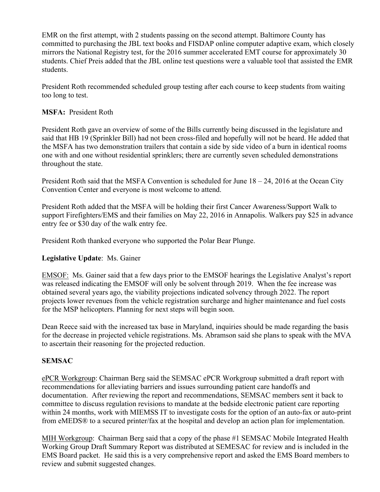EMR on the first attempt, with 2 students passing on the second attempt. Baltimore County has committed to purchasing the JBL text books and FISDAP online computer adaptive exam, which closely mirrors the National Registry test, for the 2016 summer accelerated EMT course for approximately 30 students. Chief Preis added that the JBL online test questions were a valuable tool that assisted the EMR students.

President Roth recommended scheduled group testing after each course to keep students from waiting too long to test.

# **MSFA:** President Roth

President Roth gave an overview of some of the Bills currently being discussed in the legislature and said that HB 19 (Sprinkler Bill) had not been cross-filed and hopefully will not be heard. He added that the MSFA has two demonstration trailers that contain a side by side video of a burn in identical rooms one with and one without residential sprinklers; there are currently seven scheduled demonstrations throughout the state.

President Roth said that the MSFA Convention is scheduled for June 18 – 24, 2016 at the Ocean City Convention Center and everyone is most welcome to attend.

President Roth added that the MSFA will be holding their first Cancer Awareness/Support Walk to support Firefighters/EMS and their families on May 22, 2016 in Annapolis. Walkers pay \$25 in advance entry fee or \$30 day of the walk entry fee.

President Roth thanked everyone who supported the Polar Bear Plunge.

# **Legislative Update**: Ms. Gainer

EMSOF: Ms. Gainer said that a few days prior to the EMSOF hearings the Legislative Analyst's report was released indicating the EMSOF will only be solvent through 2019. When the fee increase was obtained several years ago, the viability projections indicated solvency through 2022. The report projects lower revenues from the vehicle registration surcharge and higher maintenance and fuel costs for the MSP helicopters. Planning for next steps will begin soon.

Dean Reece said with the increased tax base in Maryland, inquiries should be made regarding the basis for the decrease in projected vehicle registrations. Ms. Abramson said she plans to speak with the MVA to ascertain their reasoning for the projected reduction.

# **SEMSAC**

ePCR Workgroup: Chairman Berg said the SEMSAC ePCR Workgroup submitted a draft report with recommendations for alleviating barriers and issues surrounding patient care handoffs and documentation. After reviewing the report and recommendations, SEMSAC members sent it back to committee to discuss regulation revisions to mandate at the bedside electronic patient care reporting within 24 months, work with MIEMSS IT to investigate costs for the option of an auto-fax or auto-print from eMEDS® to a secured printer/fax at the hospital and develop an action plan for implementation.

MIH Workgroup: Chairman Berg said that a copy of the phase #1 SEMSAC Mobile Integrated Health Working Group Draft Summary Report was distributed at SEMESAC for review and is included in the EMS Board packet. He said this is a very comprehensive report and asked the EMS Board members to review and submit suggested changes.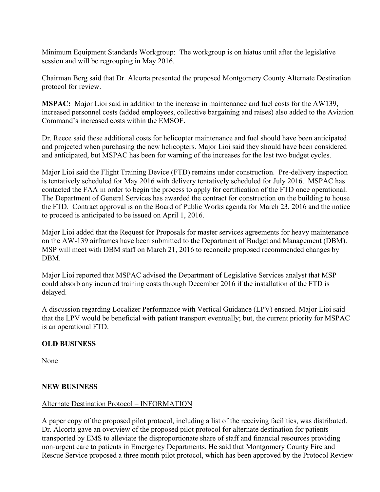Minimum Equipment Standards Workgroup: The workgroup is on hiatus until after the legislative session and will be regrouping in May 2016.

Chairman Berg said that Dr. Alcorta presented the proposed Montgomery County Alternate Destination protocol for review.

**MSPAC:** Major Lioi said in addition to the increase in maintenance and fuel costs for the AW139, increased personnel costs (added employees, collective bargaining and raises) also added to the Aviation Command's increased costs within the EMSOF.

Dr. Reece said these additional costs for helicopter maintenance and fuel should have been anticipated and projected when purchasing the new helicopters. Major Lioi said they should have been considered and anticipated, but MSPAC has been for warning of the increases for the last two budget cycles.

Major Lioi said the Flight Training Device (FTD) remains under construction. Pre-delivery inspection is tentatively scheduled for May 2016 with delivery tentatively scheduled for July 2016. MSPAC has contacted the FAA in order to begin the process to apply for certification of the FTD once operational. The Department of General Services has awarded the contract for construction on the building to house the FTD. Contract approval is on the Board of Public Works agenda for March 23, 2016 and the notice to proceed is anticipated to be issued on April 1, 2016.

Major Lioi added that the Request for Proposals for master services agreements for heavy maintenance on the AW-139 airframes have been submitted to the Department of Budget and Management (DBM). MSP will meet with DBM staff on March 21, 2016 to reconcile proposed recommended changes by **DBM** 

Major Lioi reported that MSPAC advised the Department of Legislative Services analyst that MSP could absorb any incurred training costs through December 2016 if the installation of the FTD is delayed.

A discussion regarding Localizer Performance with Vertical Guidance (LPV) ensued. Major Lioi said that the LPV would be beneficial with patient transport eventually; but, the current priority for MSPAC is an operational FTD.

# **OLD BUSINESS**

None

# **NEW BUSINESS**

# Alternate Destination Protocol – INFORMATION

A paper copy of the proposed pilot protocol, including a list of the receiving facilities, was distributed. Dr. Alcorta gave an overview of the proposed pilot protocol for alternate destination for patients transported by EMS to alleviate the disproportionate share of staff and financial resources providing non-urgent care to patients in Emergency Departments. He said that Montgomery County Fire and Rescue Service proposed a three month pilot protocol, which has been approved by the Protocol Review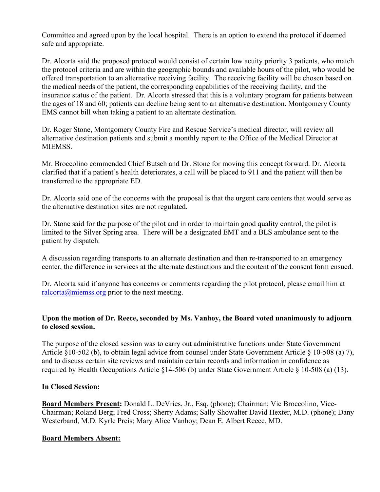Committee and agreed upon by the local hospital. There is an option to extend the protocol if deemed safe and appropriate.

Dr. Alcorta said the proposed protocol would consist of certain low acuity priority 3 patients, who match the protocol criteria and are within the geographic bounds and available hours of the pilot, who would be offered transportation to an alternative receiving facility. The receiving facility will be chosen based on the medical needs of the patient, the corresponding capabilities of the receiving facility, and the insurance status of the patient. Dr. Alcorta stressed that this is a voluntary program for patients between the ages of 18 and 60; patients can decline being sent to an alternative destination. Montgomery County EMS cannot bill when taking a patient to an alternate destination.

Dr. Roger Stone, Montgomery County Fire and Rescue Service's medical director, will review all alternative destination patients and submit a monthly report to the Office of the Medical Director at MIEMSS.

Mr. Broccolino commended Chief Butsch and Dr. Stone for moving this concept forward. Dr. Alcorta clarified that if a patient's health deteriorates, a call will be placed to 911 and the patient will then be transferred to the appropriate ED.

Dr. Alcorta said one of the concerns with the proposal is that the urgent care centers that would serve as the alternative destination sites are not regulated.

Dr. Stone said for the purpose of the pilot and in order to maintain good quality control, the pilot is limited to the Silver Spring area. There will be a designated EMT and a BLS ambulance sent to the patient by dispatch.

A discussion regarding transports to an alternate destination and then re-transported to an emergency center, the difference in services at the alternate destinations and the content of the consent form ensued.

Dr. Alcorta said if anyone has concerns or comments regarding the pilot protocol, please email him at ralcorta@miemss.org prior to the next meeting.

# **Upon the motion of Dr. Reece, seconded by Ms. Vanhoy, the Board voted unanimously to adjourn to closed session.**

The purpose of the closed session was to carry out administrative functions under State Government Article §10-502 (b), to obtain legal advice from counsel under State Government Article § 10-508 (a) 7), and to discuss certain site reviews and maintain certain records and information in confidence as required by Health Occupations Article §14-506 (b) under State Government Article § 10-508 (a) (13).

# **In Closed Session:**

**Board Members Present:** Donald L. DeVries, Jr., Esq. (phone); Chairman; Vic Broccolino, Vice-Chairman; Roland Berg; Fred Cross; Sherry Adams; Sally Showalter David Hexter, M.D. (phone); Dany Westerband, M.D. Kyrle Preis; Mary Alice Vanhoy; Dean E. Albert Reece, MD.

# **Board Members Absent:**